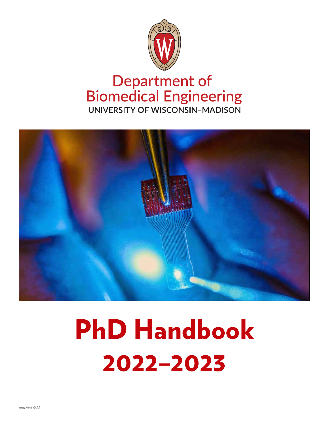

# **Department of<br>Biomedical Engineering** UNIVERSITY OF WISCONSIN-MADISON



# PhD Handbook 2022–2023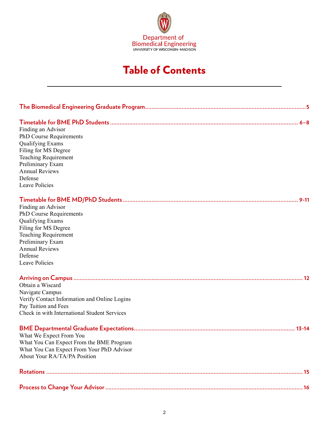

# Table of Contents

| Finding an Advisor                           |  |  |  |  |
|----------------------------------------------|--|--|--|--|
| PhD Course Requirements                      |  |  |  |  |
| <b>Qualifying Exams</b>                      |  |  |  |  |
| Filing for MS Degree                         |  |  |  |  |
| <b>Teaching Requirement</b>                  |  |  |  |  |
| Preliminary Exam                             |  |  |  |  |
| <b>Annual Reviews</b>                        |  |  |  |  |
| Defense                                      |  |  |  |  |
| Leave Policies                               |  |  |  |  |
|                                              |  |  |  |  |
| Finding an Advisor                           |  |  |  |  |
| PhD Course Requirements                      |  |  |  |  |
| <b>Qualifying Exams</b>                      |  |  |  |  |
| Filing for MS Degree                         |  |  |  |  |
| <b>Teaching Requirement</b>                  |  |  |  |  |
| Preliminary Exam                             |  |  |  |  |
| <b>Annual Reviews</b>                        |  |  |  |  |
| Defense                                      |  |  |  |  |
| Leave Policies                               |  |  |  |  |
|                                              |  |  |  |  |
| Obtain a Wiscard                             |  |  |  |  |
| Navigate Campus                              |  |  |  |  |
| Verify Contact Information and Online Logins |  |  |  |  |
| Pay Tuition and Fees                         |  |  |  |  |
| Check in with International Student Services |  |  |  |  |
|                                              |  |  |  |  |
| What We Expect From You                      |  |  |  |  |
| What You Can Expect From the BME Program     |  |  |  |  |
| What You Can Expect From Your PhD Advisor    |  |  |  |  |
| About Your RA/TA/PA Position                 |  |  |  |  |
|                                              |  |  |  |  |
|                                              |  |  |  |  |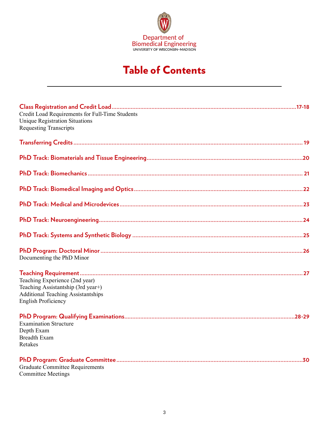

# Table of Contents

| Credit Load Requirements for Full-Time Students<br><b>Unique Registration Situations</b><br><b>Requesting Transcripts</b>                       |
|-------------------------------------------------------------------------------------------------------------------------------------------------|
|                                                                                                                                                 |
|                                                                                                                                                 |
|                                                                                                                                                 |
|                                                                                                                                                 |
|                                                                                                                                                 |
|                                                                                                                                                 |
|                                                                                                                                                 |
| Documenting the PhD Minor                                                                                                                       |
| Teaching Experience (2nd year)<br>Teaching Assistantship (3rd year+)<br><b>Additional Teaching Assistantships</b><br><b>English Proficiency</b> |
| <b>Examination Structure</b><br>Depth Exam<br><b>Breadth Exam</b><br>Retakes                                                                    |
| <b>Graduate Committee Requirements</b><br><b>Committee Meetings</b>                                                                             |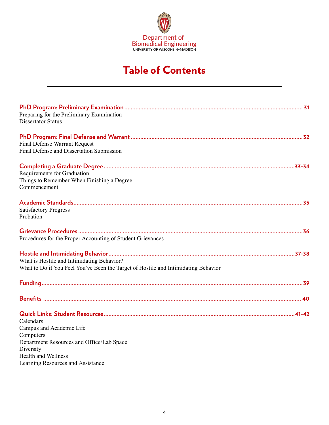

# Table of Contents

| Preparing for the Preliminary Examination<br><b>Dissertator Status</b>                                                                     |
|--------------------------------------------------------------------------------------------------------------------------------------------|
| <b>Final Defense Warrant Request</b><br>Final Defense and Dissertation Submission                                                          |
| Requirements for Graduation<br>Things to Remember When Finishing a Degree<br>Commencement                                                  |
| <b>Satisfactory Progress</b><br>Probation                                                                                                  |
| Procedures for the Proper Accounting of Student Grievances                                                                                 |
| What is Hostile and Intimidating Behavior?<br>What to Do if You Feel You've Been the Target of Hostile and Intimidating Behavior           |
|                                                                                                                                            |
|                                                                                                                                            |
| Calendars<br>Campus and Academic Life<br>Computers<br>Department Resources and Office/Lab Space<br>Diversity<br><b>Health and Wellness</b> |
| Learning Resources and Assistance                                                                                                          |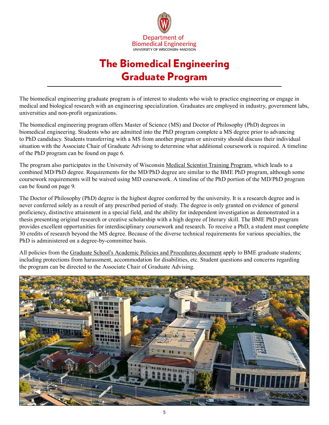

# The Biomedical Engineering Graduate Program

<span id="page-4-0"></span>The biomedical engineering graduate program is of interest to students who wish to practice engineering or engage in medical and biological research with an engineering specialization. Graduates are employed in industry, government labs, universities and non-profit organizations.

The biomedical engineering program offers Master of Science (MS) and Doctor of Philosophy (PhD) degrees in biomedical engineering. Students who are admitted into the PhD program complete a MS degree prior to advancing to PhD candidacy. Students transferring with a MS from another program or university should discuss their individual situation with the Associate Chair of Graduate Advising to determine what additional coursework is required. A timeline of the PhD program can be found on page 6.

The program also participates in the University of Wisconsin [Medical Scientist Training Program,](https://www.med.wisc.edu/education/md-phd/) which leads to a combined MD/PhD degree. Requirements for the MD/PhD degree are similar to the BME PhD program, although some coursework requirements will be waived using MD coursework. A timeline of the PhD portion of the MD/PhD program can be found on page 9.

The Doctor of Philosophy (PhD) degree is the highest degree conferred by the university. It is a research degree and is never conferred solely as a result of any prescribed period of study. The degree is only granted on evidence of general proficiency, distinctive attainment in a special field, and the ability for independent investigation as demonstrated in a thesis presenting original research or creative scholarship with a high degree of literary skill. The BME PhD program provides excellent opportunities for interdisciplinary coursework and research. To receive a PhD, a student must complete 30 credits of research beyond the MS degree. Because of the diverse technical requirements for various specialties, the PhD is administered on a degree-by-committee basis.

All policies from the [Graduate School's Academic Policies and Procedures document](https://hr.wisc.edu/policies/gapp/) apply to BME graduate students; including protections from harassment, accommodation for disabilities, etc. Student questions and concerns regarding the program can be directed to the Associate Chair of Graduate Advising.

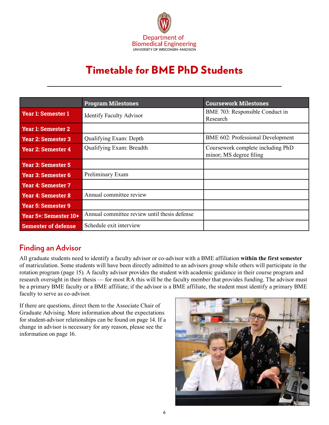

# Timetable for BME PhD Students

<span id="page-5-0"></span>

|                            | <b>Program Milestones</b>                    | <b>Coursework Milestones</b>                                 |
|----------------------------|----------------------------------------------|--------------------------------------------------------------|
| <b>Year 1: Semester 1</b>  | <b>Identify Faculty Advisor</b>              | BME 703: Responsible Conduct in<br>Research                  |
| <b>Year 1: Semester 2</b>  |                                              |                                                              |
| <b>Year 2: Semester 3</b>  | Qualifying Exam: Depth                       | BME 602: Professional Development                            |
| Year 2: Semester 4         | Qualifying Exam: Breadth                     | Coursework complete including PhD<br>minor; MS degree filing |
| <b>Year 3: Semester 5</b>  |                                              |                                                              |
| Year 3: Semester 6         | Preliminary Exam                             |                                                              |
| <b>Year 4: Semester 7</b>  |                                              |                                                              |
| <b>Year 4: Semester 8</b>  | Annual committee review                      |                                                              |
| Year 5: Semester 9         |                                              |                                                              |
| Year 5+: Semester 10+      | Annual committee review until thesis defense |                                                              |
| <b>Semester of defense</b> | Schedule exit interview                      |                                                              |

# **Finding an Advisor**

All graduate students need to identify a faculty advisor or co-advisor with a BME affiliation **within the first semester** of matriculation. Some students will have been directly admitted to an advisors group while others will participate in the rotation program (page 15). A faculty advisor provides the student with academic guidance in their course program and research oversight in their thesis — for most RA this will be the faculty member that provides funding. The advisor must be a primary BME faculty or a BME affiliate; if the advisor is a BME affiliate, the student must identify a primary BME faculty to serve as co-advisor.

If there are questions, direct them to the Associate Chair of Graduate Advising. More information about the expectations for student-advisor relationships can be found on page 14. If a change in advisor is necessary for any reason, please see the information on page 16.

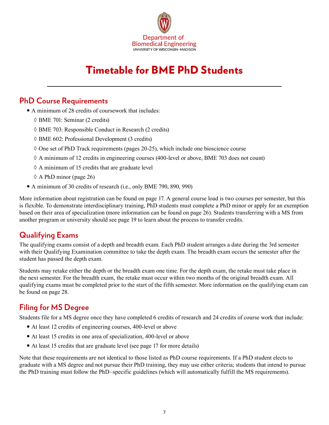

# Timetable for BME PhD Students

### **PhD Course Requirements**

- A minimum of 28 credits of coursework that includes:
	- ◊ BME 701: Seminar (2 credits)
	- ◊ BME 703: Responsible Conduct in Research (2 credits)
	- ◊ BME 602: Professional Development (3 credits)
	- $\Diamond$  One set of PhD Track requirements (pages 20-25), which include one bioscience course
	- $\Diamond$  A minimum of 12 credits in engineering courses (400-level or above, BME 703 does not count)
	- $\Diamond$  A minimum of 15 credits that are graduate level
	- ◊ A PhD minor (page 26)
- A minimum of 30 credits of research (i.e., only BME 790, 890, 990)

More information about registration can be found on page 17. A general course load is two courses per semester, but this is flexible. To demonstrate interdisciplinary training, PhD students must complete a PhD minor or apply for an exemption based on their area of specialization (more information can be found on page 26). Students transferring with a MS from another program or university should see page 19 to learn about the process to transfer credits.

### **Qualifying Exams**

The qualifying exams consist of a depth and breadth exam. Each PhD student arranges a date during the 3rd semester with their Qualifying Examination committee to take the depth exam. The breadth exam occurs the semester after the student has passed the depth exam.

Students may retake either the depth or the breadth exam one time. For the depth exam, the retake must take place in the next semester. For the breadth exam, the retake must occur within two months of the original breadth exam. All qualifying exams must be completed prior to the start of the fifth semester. More information on the qualifying exam can be found on page 28.

# **Filing for MS Degree**

Students file for a MS degree once they have completed 6 credits of research and 24 credits of course work that include:

- At least 12 credits of engineering courses, 400-level or above
- At least 15 credits in one area of specialization, 400-level or above
- At least 15 credits that are graduate level (see page 17 for more details)

Note that these requirements are not identical to those listed as PhD course requirements. If a PhD student elects to graduate with a MS degree and not pursue their PhD training, they may use either criteria; students that intend to pursue the PhD training must follow the PhD–specific guidelines (which will automatically fulfill the MS requirements).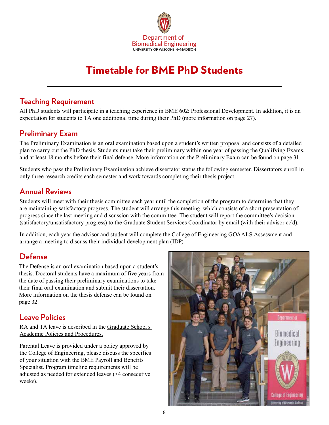

# Timetable for BME PhD Students

### **Teaching Requirement**

All PhD students will participate in a teaching experience in BME 602: Professional Development. In addition, it is an expectation for students to TA one additional time during their PhD (more information on page 27).

## **Preliminary Exam**

The Preliminary Examination is an oral examination based upon a student's written proposal and consists of a detailed plan to carry out the PhD thesis. Students must take their preliminary within one year of passing the Qualifying Exams, and at least 18 months before their final defense. More information on the Preliminary Exam can be found on page 31.

Students who pass the Preliminary Examination achieve dissertator status the following semester. Dissertators enroll in only three research credits each semester and work towards completing their thesis project.

## **Annual Reviews**

Students will meet with their thesis committee each year until the completion of the program to determine that they are maintaining satisfactory progress. The student will arrange this meeting, which consists of a short presentation of progress since the last meeting and discussion with the committee. The student will report the committee's decision (satisfactory/unsatisfactory progress) to the Graduate Student Services Coordinator by email (with their advisor cc'd).

In addition, each year the advisor and student will complete the College of Engineering GOAALS Assessment and arrange a meeting to discuss their individual development plan (IDP).

# **Defense**

The Defense is an oral examination based upon a student's thesis. Doctoral students have a maximum of five years from the date of passing their preliminary examinations to take their final oral examination and submit their dissertation. More information on the thesis defense can be found on page 32.

# **Leave Policies**

RA and TA leave is described in the [Graduate School's](https://hr.wisc.edu/policies/gapp/)  [Academic Policies and Procedures](https://hr.wisc.edu/policies/gapp/).

Parental Leave is provided under a policy approved by the College of Engineering, please discuss the specifics of your situation with the BME Payroll and Benefits Specialist. Program timeline requirements will be adjusted as needed for extended leaves (>4 consecutive weeks).

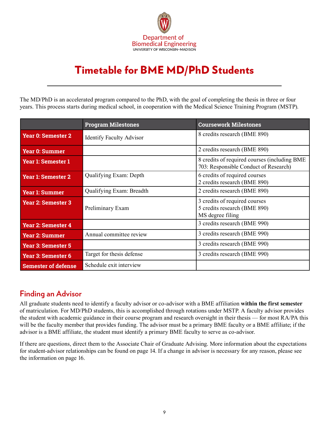

# <span id="page-8-0"></span>Timetable for BME MD/PhD Students

The MD/PhD is an accelerated program compared to the PhD, with the goal of completing the thesis in three or four years. This process starts during medical school, in cooperation with the Medical Science Training Program (MSTP).

|                            | <b>Program Milestones</b>       | <b>Coursework Milestones</b>                                                          |
|----------------------------|---------------------------------|---------------------------------------------------------------------------------------|
| <b>Year 0: Semester 2</b>  | <b>Identify Faculty Advisor</b> | 8 credits research (BME 890)                                                          |
| <b>Year 0: Summer</b>      |                                 | 2 credits research (BME 890)                                                          |
| Year 1: Semester 1         |                                 | 8 credits of required courses (including BME<br>703: Responsible Conduct of Research) |
| <b>Year 1: Semester 2</b>  | Qualifying Exam: Depth          | 6 credits of required courses<br>2 credits research (BME 890)                         |
| <b>Year 1: Summer</b>      | Qualifying Exam: Breadth        | 2 credits research (BME 890)                                                          |
| <b>Year 2: Semester 3</b>  | Preliminary Exam                | 3 credits of required courses<br>5 credits research (BME 890)<br>MS degree filing     |
| <b>Year 2: Semester 4</b>  |                                 | 3 credits research (BME 990)                                                          |
| <b>Year 2: Summer</b>      | Annual committee review         | 3 credits research (BME 990)                                                          |
| <b>Year 3: Semester 5</b>  |                                 | 3 credits research (BME 990)                                                          |
| Year 3: Semester 6         | Target for thesis defense       | 3 credits research (BME 990)                                                          |
| <b>Semester of defense</b> | Schedule exit interview         |                                                                                       |

### **Finding an Advisor**

All graduate students need to identify a faculty advisor or co-advisor with a BME affiliation **within the first semester** of matriculation. For MD/PhD students, this is accomplished through rotations under MSTP. A faculty advisor provides the student with academic guidance in their course program and research oversight in their thesis — for most RA/PA this will be the faculty member that provides funding. The advisor must be a primary BME faculty or a BME affiliate; if the advisor is a BME affiliate, the student must identify a primary BME faculty to serve as co-advisor.

If there are questions, direct them to the Associate Chair of Graduate Advising. More information about the expectations for student-advisor relationships can be found on page 14. If a change in advisor is necessary for any reason, please see the information on page 16.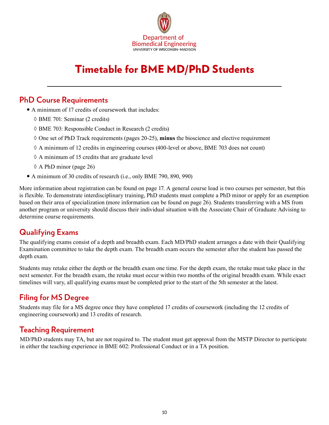

# Timetable for BME MD/PhD Students

### **PhD Course Requirements**

- A minimum of 17 credits of coursework that includes:
	- ◊ BME 701: Seminar (2 credits)
	- ◊ BME 703: Responsible Conduct in Research (2 credits)
	- ◊ One set of PhD Track requirements (pages 20-25), **minus** the bioscience and elective requirement
	- ◊ A minimum of 12 credits in engineering courses (400-level or above, BME 703 does not count)
	- $\Diamond$  A minimum of 15 credits that are graduate level
	- $\Diamond$  A PhD minor (page 26)
- A minimum of 30 credits of research (i.e., only BME 790, 890, 990)

More information about registration can be found on page 17. A general course load is two courses per semester, but this is flexible. To demonstrate interdisciplinary training, PhD students must complete a PhD minor or apply for an exemption based on their area of specialization (more information can be found on page 26). Students transferring with a MS from another program or university should discuss their individual situation with the Associate Chair of Graduate Advising to determine course requirements.

### **Qualifying Exams**

The qualifying exams consist of a depth and breadth exam. Each MD/PhD student arranges a date with their Qualifying Examination committee to take the depth exam. The breadth exam occurs the semester after the student has passed the depth exam.

Students may retake either the depth or the breadth exam one time. For the depth exam, the retake must take place in the next semester. For the breadth exam, the retake must occur within two months of the original breadth exam. While exact timelines will vary, all qualifying exams must be completed prior to the start of the 5th semester at the latest.

# **Filing for MS Degree**

Students may file for a MS degree once they have completed 17 credits of coursework (including the 12 credits of engineering coursework) and 13 credits of research.

### **Teaching Requirement**

MD/PhD students may TA, but are not required to. The student must get approval from the MSTP Director to participate in either the teaching experience in BME 602: Professional Conduct or in a TA position.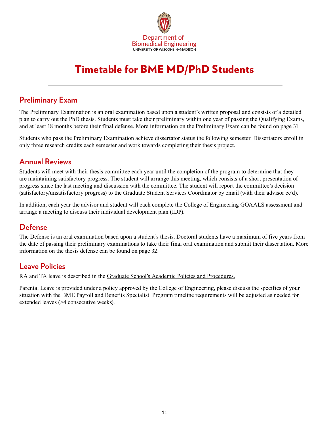

# Timetable for BME MD/PhD Students

## **Preliminary Exam**

The Preliminary Examination is an oral examination based upon a student's written proposal and consists of a detailed plan to carry out the PhD thesis. Students must take their preliminary within one year of passing the Qualifying Exams, and at least 18 months before their final defense. More information on the Preliminary Exam can be found on page 31.

Students who pass the Preliminary Examination achieve dissertator status the following semester. Dissertators enroll in only three research credits each semester and work towards completing their thesis project.

### **Annual Reviews**

Students will meet with their thesis committee each year until the completion of the program to determine that they are maintaining satisfactory progress. The student will arrange this meeting, which consists of a short presentation of progress since the last meeting and discussion with the committee. The student will report the committee's decision (satisfactory/unsatisfactory progress) to the Graduate Student Services Coordinator by email (with their advisor cc'd).

In addition, each year the advisor and student will each complete the College of Engineering GOAALS assessment and arrange a meeting to discuss their individual development plan (IDP).

### **Defense**

The Defense is an oral examination based upon a student's thesis. Doctoral students have a maximum of five years from the date of passing their preliminary examinations to take their final oral examination and submit their dissertation. More information on the thesis defense can be found on page 32.

### **Leave Policies**

RA and TA leave is described in th[e Graduate School's Academic Policies and Procedures.](https://hr.wisc.edu/policies/gapp/)

Parental Leave is provided under a policy approved by the College of Engineering, please discuss the specifics of your situation with the BME Payroll and Benefits Specialist. Program timeline requirements will be adjusted as needed for extended leaves (>4 consecutive weeks).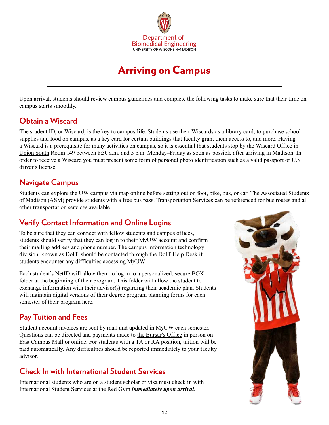

# Arriving on Campus

<span id="page-11-0"></span>Upon arrival, students should review campus guidelines and complete the following tasks to make sure that their time on campus starts smoothly.

### **Obtain a Wiscard**

The student ID, or [Wiscard,](https://wiscard.wisc.edu/) is the key to campus life. Students use their Wiscards as a library card, to purchase school supplies and food on campus, as a key card for certain buildings that faculty grant them access to, and more. Having a Wiscard is a prerequisite for many activities on campus, so it is essential that students stop by the Wiscard Office in [Union Sout](https://www.google.com/maps/dir/)h Room 149 between 8:30 a.m. and 5 p.m. Monday–Friday as soon as possible after arriving in Madison. In order to receive a Wiscard you must present some form of personal photo identification such as a valid passport or U.S. driver's license.

# **Navigate Campus**

Students can explore the UW campus via map online before setting out on foot, bike, bus, or car. The Associated Students of Madison (ASM) provide students with a [free bus pass](https://www.asm.wisc.edu/resources/buspass/). [Transportation Services](https://transportation.wisc.edu/) can be referenced for bus routes and all other transportation services available.

# **Verify Contact Information and Online Logins**

To be sure that they can connect with fellow students and campus offices, students should verify that they can log in to their [MyUW](http://www.wisc.edu/) account and confirm their mailing address and phone number. The campus information technology division, known a[s DoIT](https://it.wisc.edu/about/division-of-information-technology/), should be contacted through the [DoIT Help Desk](https://kb.wisc.edu/helpdesk/) if students encounter any difficulties accessing MyUW.

Each student's NetID will allow them to log in to a personalized, secure BOX folder at the beginning of their program. This folder will allow the student to exchange information with their advisor(s) regarding their academic plan. Students will maintain digital versions of their degree program planning forms for each semester of their program here.

# **Pay Tuition and Fees**

Student account invoices are sent by mail and updated in MyUW each semester. Questions can be directed and payments made to [the Bursar's Office](http://www.bussvc.wisc.edu/bursar/) in person on East Campus Mall or online. For students with a TA or RA position, tuition will be paid automatically. Any difficulties should be reported immediately to your faculty advisor.

# **Check In with International Student Services**

International students who are on a student scholar or visa must check in with [International Student Services](https://iss.wisc.edu/) at the [Red Gym](http://map.wisc.edu/s/rchuv9to) *immediately upon arrival*.

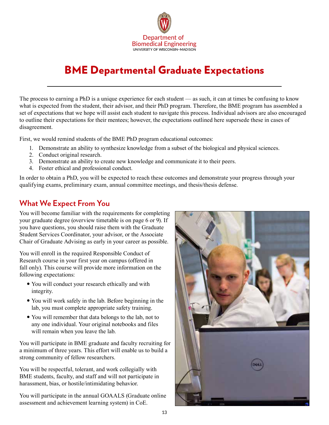

# <span id="page-12-0"></span>BME Departmental Graduate Expectations

The process to earning a PhD is a unique experience for each student — as such, it can at times be confusing to know what is expected from the student, their advisor, and their PhD program. Therefore, the BME program has assembled a set of expectations that we hope will assist each student to navigate this process. Individual advisors are also encouraged to outline their expectations for their mentees; however, the expectations outlined here supersede these in cases of disagreement.

First, we would remind students of the BME PhD program educational outcomes:

- 1. Demonstrate an ability to synthesize knowledge from a subset of the biological and physical sciences.
- 2. Conduct original research.
- 3. Demonstrate an ability to create new knowledge and communicate it to their peers.
- 4. Foster ethical and professional conduct.

In order to obtain a PhD, you will be expected to reach these outcomes and demonstrate your progress through your qualifying exams, preliminary exam, annual committee meetings, and thesis/thesis defense.

# **What We Expect From You**

You will become familiar with the requirements for completing your graduate degree (overview timetable is on page 6 or 9). If you have questions, you should raise them with the Graduate Student Services Coordinator, your advisor, or the Associate Chair of Graduate Advising as early in your career as possible.

You will enroll in the required Responsible Conduct of Research course in your first year on campus (offered in fall only). This course will provide more information on the following expectations:

- You will conduct your research ethically and with integrity.
- You will work safely in the lab. Before beginning in the lab, you must complete appropriate safety training.
- You will remember that data belongs to the lab, not to any one individual. Your original notebooks and files will remain when you leave the lab.

You will participate in BME graduate and faculty recruiting for a minimum of three years. This effort will enable us to build a strong community of fellow researchers.

You will be respectful, tolerant, and work collegially with BME students, faculty, and staff and will not participate in harassment, bias, or hostile/intimidating behavior.

You will participate in the annual GOAALS (Graduate online assessment and achievement learning system) in CoE.

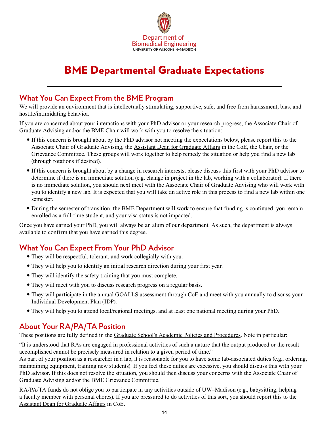

# BME Departmental Graduate Expectations

### **What You Can Expect From the BME Program**

We will provide an environment that is intellectually stimulating, supportive, safe, and free from harassment, bias, and hostile/intimidating behavior.

If you are concerned about your interactions with your PhD advisor or your research progress, the [Associate Chair of](https://engineering.wisc.edu/departments/biomedical-engineering/people/)  [Graduate Advising](https://engineering.wisc.edu/departments/biomedical-engineering/people/) and/or the [BME Chair](https://engineering.wisc.edu/departments/biomedical-engineering/people/) will work with you to resolve the situation:

- y If this concern is brought about by the PhD advisor not meeting the expectations below, please report this to the Associate Chair of Graduate Advising, the [Assistant Dean for Graduate Affairs](https://engineering.wisc.edu/about/leadership/) in the CoE, the Chair, or the Grievance Committee. These groups will work together to help remedy the situation or help you find a new lab (through rotations if desired).
- y If this concern is brought about by a change in research interests, please discuss this first with your PhD advisor to determine if there is an immediate solution (e.g. change in project in the lab, working with a collaborator). If there is no immediate solution, you should next meet with the Associate Chair of Graduate Advising who will work with you to identify a new lab. It is expected that you will take an active role in this process to find a new lab within one semester.
- During the semester of transition, the BME Department will work to ensure that funding is continued, you remain enrolled as a full-time student, and your visa status is not impacted.

Once you have earned your PhD, you will always be an alum of our department. As such, the department is always available to confirm that you have earned this degree.

# **What You Can Expect From Your PhD Advisor**

- They will be respectful, tolerant, and work collegially with you.
- They will help you to identify an initial research direction during your first year.
- They will identify the safety training that you must complete.
- They will meet with you to discuss research progress on a regular basis.
- They will participate in the annual GOALLS assessment through CoE and meet with you annually to discuss your Individual Development Plan (IDP).
- y They will help you to attend local/regional meetings, and at least one national meeting during your PhD.

# **About Your RA/PA/TA Position**

These positions are fully defined in the [Graduate School's Academic Policies and Procedures.](https://hr.wisc.edu/policies/gapp/) Note in particular:

"It is understood that RAs are engaged in professional activities of such a nature that the output produced or the result accomplished cannot be precisely measured in relation to a given period of time."

As part of your position as a researcher in a lab, it is reasonable for you to have some lab-associated duties (e.g., ordering, maintaining equipment, training new students). If you feel these duties are excessive, you should discuss this with your PhD advisor. If this does not resolve the situation, you should then discuss your concerns with the [Associate Chair of](https://engineering.wisc.edu/departments/biomedical-engineering/people/)  [Graduate Advising](https://engineering.wisc.edu/departments/biomedical-engineering/people/) and/or the BME Grievance Committee.

RA/PA/TA funds do not oblige you to participate in any activities outside of UW–Madison (e.g., babysitting, helping a faculty member with personal chores). If you are pressured to do activities of this sort, you should report this to the [Assistant Dean for Graduate Affairs](https://engineering.wisc.edu/about/leadership/) in CoE.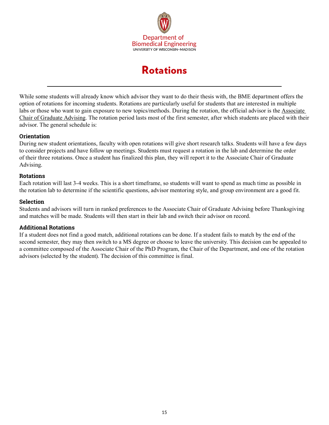

# Rotations

<span id="page-14-0"></span>While some students will already know which advisor they want to do their thesis with, the BME department offers the option of rotations for incoming students. Rotations are particularly useful for students that are interested in multiple labs or those who want to gain exposure to new topics/methods. During the rotation, the official advisor is the [Associate](https://engineering.wisc.edu/departments/biomedical-engineering/people/)  [Chair of Graduate Advising](https://engineering.wisc.edu/departments/biomedical-engineering/people/). The rotation period lasts most of the first semester, after which students are placed with their advisor. The general schedule is:

#### **Orientation**

During new student orientations, faculty with open rotations will give short research talks. Students will have a few days to consider projects and have follow up meetings. Students must request a rotation in the lab and determine the order of their three rotations. Once a student has finalized this plan, they will report it to the Associate Chair of Graduate Advising.

#### **Rotations**

Each rotation will last 3-4 weeks. This is a short timeframe, so students will want to spend as much time as possible in the rotation lab to determine if the scientific questions, advisor mentoring style, and group environment are a good fit.

#### **Selection**

Students and advisors will turn in ranked preferences to the Associate Chair of Graduate Advising before Thanksgiving and matches will be made. Students will then start in their lab and switch their advisor on record.

#### **Additional Rotations**

If a student does not find a good match, additional rotations can be done. If a student fails to match by the end of the second semester, they may then switch to a MS degree or choose to leave the university. This decision can be appealed to a committee composed of the Associate Chair of the PhD Program, the Chair of the Department, and one of the rotation advisors (selected by the student). The decision of this committee is final.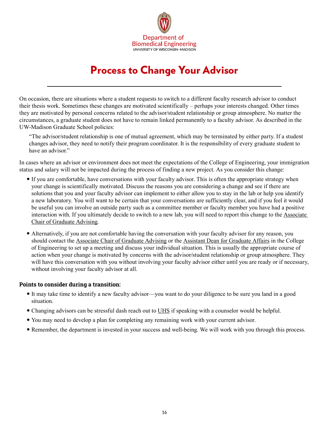

# Process to Change Your Advisor

<span id="page-15-0"></span>On occasion, there are situations where a student requests to switch to a different faculty research advisor to conduct their thesis work. Sometimes these changes are motivated scientifically – perhaps your interests changed. Other times they are motivated by personal concerns related to the advisor/student relationship or group atmosphere. No matter the circumstances, a graduate student does not have to remain linked permanently to a faculty advisor. As described in the UW-Madison Graduate School policies:

"The advisor/student relationship is one of mutual agreement, which may be terminated by either party. If a student changes advisor, they need to notify their program coordinator. It is the responsibility of every graduate student to have an advisor"

In cases where an advisor or environment does not meet the expectations of the College of Engineering, your immigration status and salary will not be impacted during the process of finding a new project. As you consider this change:

- If you are comfortable, have conversations with your faculty advisor. This is often the appropriate strategy when your change is scientifically motivated. Discuss the reasons you are considering a change and see if there are solutions that you and your faculty advisor can implement to either allow you to stay in the lab or help you identify a new laboratory. You will want to be certain that your conversations are sufficiently clear, and if you feel it would be useful you can involve an outside party such as a committee member or faculty member you have had a positive interaction with. If you ultimately decide to switch to a new lab, you will need to report this change to the [Associate](https://engineering.wisc.edu/departments/biomedical-engineering/people/)  [Chair of Graduate Advising.](https://engineering.wisc.edu/departments/biomedical-engineering/people/)
- Alternatively, if you are not comfortable having the conversation with your faculty advisor for any reason, you should contact the [Associate Chair of Graduate Advising](https://engineering.wisc.edu/departments/biomedical-engineering/people/) or the [Assistant Dean for Graduate Affairs](https://engineering.wisc.edu/about/leadership/) in the College of Engineering to set up a meeting and discuss your individual situation. This is usually the appropriate course of action when your change is motivated by concerns with the advisor/student relationship or group atmosphere. They will have this conversation with you without involving your faculty advisor either until you are ready or if necessary, without involving your faculty advisor at all.

#### **Points to consider during a transition:**

- y It may take time to identify a new faculty advisor—you want to do your diligence to be sure you land in a good situation.
- Changing advisors can be stressful dash reach out to [UHS](https://www.uhs.wisc.edu/) if speaking with a counselor would be helpful.
- You may need to develop a plan for completing any remaining work with your current advisor.
- Remember, the department is invested in your success and well-being. We will work with you through this process.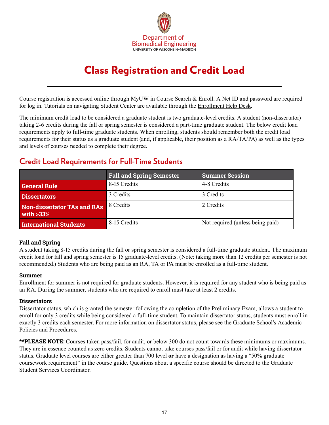

# Class Registration and Credit Load

<span id="page-16-0"></span>Course registration is accessed online through MyUW in Course Search & Enroll. A Net ID and password are required for log in. Tutorials on navigating Student Center are available through the [Enrollment Help Desk.](https://registrar.wisc.edu/enrollhelp/)

The minimum credit load to be considered a graduate student is two graduate-level credits. A student (non-dissertator) taking 2-6 credits during the fall or spring semester is considered a part-time graduate student. The below credit load requirements apply to full-time graduate students. When enrolling, students should remember both the credit load requirements for their status as a graduate student (and, if applicable, their position as a RA/TA/PA) as well as the types and levels of courses needed to complete their degree.

## **Credit Load Requirements for Full-Time Students**

|                                             | <b>Fall and Spring Semester</b> | <b>Summer Session</b>            |
|---------------------------------------------|---------------------------------|----------------------------------|
| <b>General Rule</b>                         | 8-15 Credits                    | 4-8 Credits                      |
| <b>Dissertators</b>                         | 3 Credits                       | 3 Credits                        |
| Non-dissertator TAs and RAs<br>with $>33\%$ | 8 Credits                       | 2 Credits                        |
| <b>International Students</b>               | 8-15 Credits                    | Not required (unless being paid) |

#### **Fall and Spring**

A student taking 8-15 credits during the fall or spring semester is considered a full-time graduate student. The maximum credit load for fall and spring semester is 15 graduate-level credits. (Note: taking more than 12 credits per semester is not recommended.) Students who are being paid as an RA, TA or PA must be enrolled as a full-time student.

#### **Summer**

Enrollment for summer is not required for graduate students. However, it is required for any student who is being paid as an RA. During the summer, students who are required to enroll must take at least 2 credits.

#### **Dissertators**

[Dissertator status,](https://grad.wisc.edu/documents/dissertator-status/) which is granted the semester following the completion of the Preliminary Exam, allows a student to enroll for only 3 credits while being considered a full-time student. To maintain dissertator status, students must enroll in exactly 3 credits each semester. For more information on dissertator status, please see the [Graduate School's Academic](https://hr.wisc.edu/policies/gapp/)  [Policies and Procedures](https://hr.wisc.edu/policies/gapp/).

**\*\*PLEASE NOTE:** Courses taken pass/fail, for audit, or below 300 do not count towards these minimums or maximums. They are in essence counted as zero credits. Students cannot take courses pass/fail or for audit while having dissertator status. Graduate level courses are either greater than 700 level **or** have a designation as having a "50% graduate coursework requirement" in the course guide. Questions about a specific course should be directed to the Graduate Student Services Coordinator.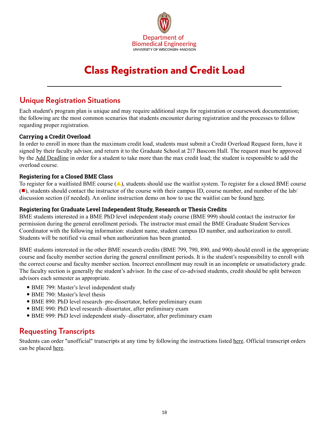

# Class Registration and Credit Load

### **Unique Registration Situations**

Each student's program plan is unique and may require additional steps for registration or coursework documentation; the following are the most common scenarios that students encounter during registration and the processes to follow regarding proper registration.

#### **Carrying a Credit Overload**

In order to enroll in more than the maximum credit load, students must submit a Credit Overload Request form, have it signed by their faculty advisor, and return it to the Graduate School at 217 Bascom Hall. The request must be approved by the [Add Deadline](https://registrar.wisc.edu/dates/) in order for a student to take more than the max credit load; the student is responsible to add the overload course.

#### **Registering for a Closed BME Class**

To register for a waitlisted BME course  $(\triangle)$ , students should use the waitlist system. To register for a closed BME course  $(\blacksquare)$ , students should contact the instructor of the course with their campus ID, course number, and number of the lab/ discussion section (if needed). An online instruction demo on how to use the waitlist can be found [here.](https://registrar.wisc.edu/howto/)

#### **Registering for Graduate Level Independent Study, Research or Thesis Credits**

BME students interested in a BME PhD level independent study course (BME 999) should contact the instructor for permission during the general enrollment periods. The instructor must email the BME Graduate Student Services Coordinator with the following information: student name, student campus ID number, and authorization to enroll. Students will be notified via email when authorization has been granted.

BME students interested in the other BME research credits (BME 799, 790, 890, and 990) should enroll in the appropriate course and faculty member section during the general enrollment periods. It is the student's responsibility to enroll with the correct course and faculty member section. Incorrect enrollment may result in an incomplete or unsatisfactory grade. The faculty section is generally the student's advisor. In the case of co-advised students, credit should be split between advisors each semester as appropriate.

- BME 799: Master's level independent study
- BME 790: Master's level thesis
- BME 890: PhD level research–pre-dissertator, before preliminary exam
- BME 990: PhD level research–dissertator, after preliminary exam
- y BME 999: PhD level independent study–dissertator, after preliminary exam

### **Requesting Transcripts**

Students can order "unofficial" transcripts at any time by following the instructions listed [here](https://kb.wisc.edu/registrar/4146). Official transcript orders can be placed <u>here</u>.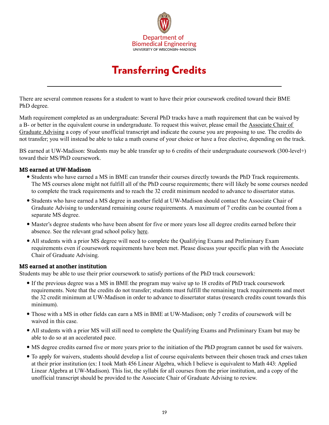

# Transferring Credits

<span id="page-18-0"></span>There are several common reasons for a student to want to have their prior coursework credited toward their BME PhD degree.

Math requirement completed as an undergraduate: Several PhD tracks have a math requirement that can be waived by a B- or better in the equivalent course in undergraduate. To request this waiver, please email the [Associate Chair of](https://engineering.wisc.edu/departments/biomedical-engineering/people/)  [Graduate Advising](https://engineering.wisc.edu/departments/biomedical-engineering/people/) a copy of your unofficial transcript and indicate the course you are proposing to use. The credits do not transfer; you will instead be able to take a math course of your choice or have a free elective, depending on the track.

BS earned at UW-Madison: Students may be able transfer up to 6 credits of their undergraduate coursework (300-level+) toward their MS/PhD coursework.

#### **MS earned at UW-Madison**

- Students who have earned a MS in BME can transfer their courses directly towards the PhD Track requirements. The MS courses alone might not fulfill all of the PhD course requirements; there will likely be some courses needed to complete the track requirements and to reach the 32 credit minimum needed to advance to dissertator status.
- y Students who have earned a MS degree in another field at UW-Madison should contact the Associate Chair of Graduate Advising to understand remaining course requirements. A maximum of 7 credits can be counted from a separate MS degree.
- Master's degree students who have been absent for five or more years lose all degree credits earned before their absence. See the relevant grad school policy [here](https://grad.wisc.edu/documents/time-limits/).
- All students with a prior MS degree will need to complete the Qualifying Exams and Preliminary Exam requirements even if coursework requirements have been met. Please discuss your specific plan with the Associate Chair of Graduate Advising.

#### **MS earned at another institution**

Students may be able to use their prior coursework to satisfy portions of the PhD track coursework:

- y If the previous degree was a MS in BME the program may waive up to 18 credits of PhD track coursework requirements. Note that the credits do not transfer; students must fulfill the remaining track requirements and meet the 32 credit minimum at UW-Madison in order to advance to dissertator status (research credits count towards this minimum).
- Those with a MS in other fields can earn a MS in BME at UW-Madison; only 7 credits of coursework will be waived in this case.
- All students with a prior MS will still need to complete the Qualifying Exams and Preliminary Exam but may be able to do so at an accelerated pace.
- y MS degree credits earned five or more years prior to the initiation of the PhD program cannot be used for waivers.
- To apply for waivers, students should develop a list of course equivalents between their chosen track and crses taken at their prior institution (ex: I took Math 456 Linear Algebra, which I believe is equivalent to Math 443: Applied Linear Algebra at UW-Madison). This list, the syllabi for all courses from the prior institution, and a copy of the unofficial transcript should be provided to the Associate Chair of Graduate Advising to review.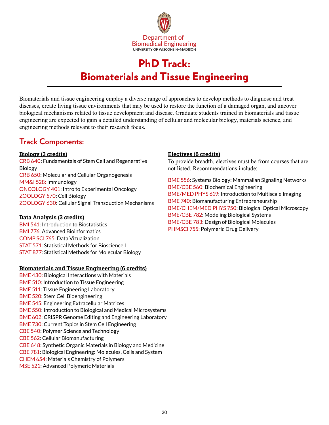

# PhD Track: Biomaterials and Tissue Engineering

<span id="page-19-0"></span>Biomaterials and tissue engineering employ a diverse range of approaches to develop methods to diagnose and treat diseases, create living tissue environments that may be used to restore the function of a damaged organ, and uncover biological mechanisms related to tissue development and disease. Graduate students trained in biomaterials and tissue engineering are expected to gain a detailed understanding of cellular and molecular biology, materials science, and engineering methods relevant to their research focus.

### **Track Components:**

#### **Biology (3 credits)**

CRB 640: Fundamentals of Stem Cell and Regenerative Biology CRB 650: Molecular and Cellular Organogenesis MM&I 528: Immunology ONCOLOGY 401: Intro to Experimental Oncology ZOOLOGY 570: Cell Biology ZOOLOGY 630: Cellular Signal Transduction Mechanisms

#### **Data Analysis (3 credits)**

BMI 541: Introduction to Biostatistics BMI 776: Advanced Bioinformatics COMP SCI 765: Data Vizualization STAT 571: Statistical Methods for Bioscience I STAT 877: Statistical Methods for Molecular Biology

#### **Biomaterials and Tissue Engineering (6 credits)**

BME 430: Biological Interactions with Materials BME 510: Introduction to Tissue Engineering BME 511: Tissue Engineering Laboratory BME 520: Stem Cell Bioengineering BME 545: Engineering Extracellular Matrices BME 550: Introduction to Biological and Medical Microsystems BME 602: CRISPR Genome Editing and Engineering Laboratory BME 730: Current Topics in Stem Cell Engineering CBE 540: Polymer Science and Technology CBE 562: Cellular Biomanufacturing CBE 648: Synthetic Organic Materials in Biology and Medicine CBE 781: Biological Engineering: Molecules, Cells and System CHEM 654: Materials Chemistry of Polymers MSE 521: Advanced Polymeric Materials

#### **Electives (6 credits)**

To provide breadth, electives must be from courses that are not listed. Recommendations include:

BME 556: Systems Biology: Mammalian Signaling Networks BME/CBE 560: Biochemical Engineering BME/MED PHYS 619: Introduction to Multiscale Imaging BME 740: Biomanufacturing Entrepreneurship BME/CHEM/MED PHYS 750: Biological Optical Microscopy BME/CBE 782: Modeling Biological Systems BME/CBE 783: Design of Biological Molecules PHMSCI 755: Polymeric Drug Delivery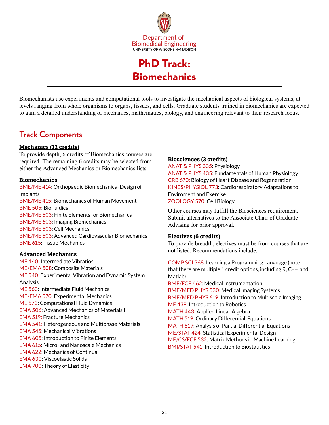

PhD Track: Biomechanics

<span id="page-20-0"></span>Biomechanists use experiments and computational tools to investigate the mechanical aspects of biological systems, at levels ranging from whole organisms to organs, tissues, and cells. Graduate students trained in biomechanics are expected to gain a detailed understanding of mechanics, mathematics, biology, and engineering relevant to their research focus.

# **Track Components**

#### **Mechanics (12 credits)**

To provide depth, 6 credits of Biomechanics courses are required. The remaining 6 credits may be selected from either the Advanced Mechanics or Biomechanics lists.

#### **Biomechanics**

BME/ME 414: Orthopaedic Biomechanics–Design of Implants BME/ME 415: Biomechanics of Human Movement BME 505: Biofluidics BME/ME 603: Finite Elements for Biomechanics BME/ME 603: Imaging Biomechanics BME/ME 603: Cell Mechanics BME/ME 603: Advanced Cardiovascular Biomechanics BME 615: Tissue Mechanics

#### **Advanced Mechanics**

ME 440: Intermediate Vibratios ME/EMA 508: Composite Materials ME 540: Experimental Vibration and Dynamic System Analysis ME 563: Intermediate Fluid Mechanics ME/EMA 570: Experimental Mechanics ME 573: Computational Fluid Dynamics EMA 506: Advanced Mechanics of Materials I EMA 519: Fracture Mechanics EMA 541: Heterogeneous and Multiphase Materials EMA 545: Mechanical Vibrations EMA 605: Introduction to Finite Elements EMA 615: Micro- and Nanoscale Mechanics EMA 622: Mechanics of Continua EMA 630: Viscoelastic Solids EMA 700: Theory of Elasticity

#### **Biosciences (3 credits)**

ANAT & PHYS 335: Physiology ANAT & PHYS 435: Fundamentals of Human Physiology CRB 670: Biology of Heart Disease and Regeneration KINES/PHYSIOL 773: Cardiorespiratory Adaptations to Enviroment and Exercise ZOOLOGY 570: Cell Biology

Other courses may fulfill the Biosciences requirement. Submit alternatives to the Associate Chair of Graduate Advising for prior approval.

#### **Electives (6 credits)**

To provide breadth, electives must be from courses that are not listed. Recommendations include:

COMP SCI 368: Learning a Programming Language (note that there are multiple 1 credit options, including R, C++, and Matlab) BME/ECE 462: Medical Instrumentation

BME/MED PHYS 530: Medical Imaging Systems BME/MED PHYS 619: Introduction to Multiscale Imaging ME 439: Introduction to Robotics MATH 443: Applied Linear Algebra MATH 519: Ordinary Differential Equations MATH 619: Analysis of Partial Differential Equations ME/STAT 424: Statistical Experimental Design ME/CS/ECE 532: Matrix Methods in Machine Learning BMI/STAT 541: Introduction to Biostatistics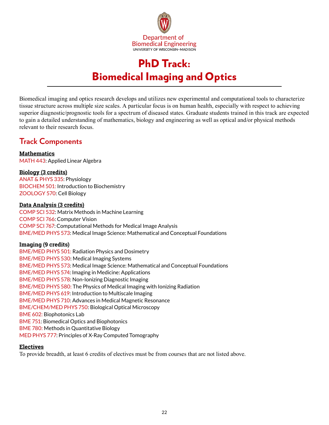

# PhD Track: Biomedical Imaging and Optics

<span id="page-21-0"></span>Biomedical imaging and optics research develops and utilizes new experimental and computational tools to characterize tissue structure across multiple size scales. A particular focus is on human health, especially with respect to achieving superior diagnostic/prognostic tools for a spectrum of diseased states. Graduate students trained in this track are expected to gain a detailed understanding of mathematics, biology and engineering as well as optical and/or physical methods relevant to their research focus.

## **Track Components**

**Mathematics** MATH 443: Applied Linear Algebra

#### **Biology (3 credits)**

ANAT & PHYS 335: Physiology BIOCHEM 501: Introduction to Biochemistry ZOOLOGY 570: Cell Biology

#### **Data Analysis (3 credits)**

COMP SCI 532: Matrix Methods in Machine Learning COMP SCI 766: Computer Vision COMP SCI 767: Computational Methods for Medical Image Analysis BME/MED PHYS 573: Medical Image Science: Mathematical and Conceptual Foundations

#### **Imaging (9 credits)**

BME/MED PHYS 501: Radiation Physics and Dosimetry BME/MED PHYS 530: Medical Imaging Systems BME/MED PHYS 573: Medical Image Science: Mathematical and Conceptual Foundations BME/MED PHYS 574: Imaging in Medicine: Applications BME/MED PHYS 578: Non-Ionizing Diagnostic Imaging BME/MED PHYS 580: The Physics of Medical Imaging with Ionizing Radiation BME/MED PHYS 619: Introduction to Multiscale Imaging BME/MED PHYS 710: Advances in Medical Magnetic Resonance BME/CHEM/MED PHYS 750: Biological Optical Microscopy BME 602: Biophotonics Lab BME 751: Biomedical Optics and Biophotonics BME 780: Methods in Quantitative Biology MED PHYS 777: Principles of X-Ray Computed Tomography

#### **Electives**

To provide breadth, at least 6 credits of electives must be from courses that are not listed above.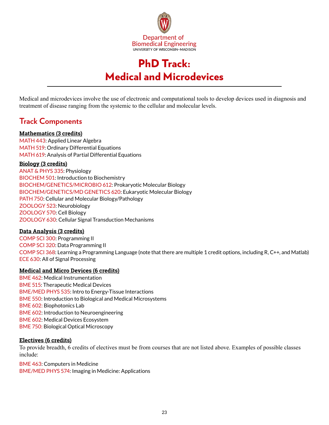

# PhD Track: Medical and Microdevices

<span id="page-22-0"></span>Medical and microdevices involve the use of electronic and computational tools to develop devices used in diagnosis and treatment of disease ranging from the systemic to the cellular and molecular levels.

# **Track Components**

#### **Mathematics (3 credits)**

MATH 443: Applied Linear Algebra MATH 519: Ordinary Differential Equations MATH 619: Analysis of Partial Differential Equations

#### **Biology (3 credits)**

ANAT & PHYS 335: Physiology BIOCHEM 501: Introduction to Biochemistry BIOCHEM/GENETICS/MICROBIO 612: Prokaryotic Molecular Biology BIOCHEM/GENETICS/MD GENETICS 620: Eukaryotic Molecular Biology PATH 750: Cellular and Molecular Biology/Pathology ZOOLOGY 523: Neurobiology ZOOLOGY 570: Cell Biology ZOOLOGY 630: Cellular Signal Transduction Mechanisms

#### **Data Analysis (3 credits)**

COMP SCI 300: Programming II COMP SCI 320: Data Programming II COMP SCI 368: Learning a Programming Language (note that there are multiple 1 credit options, including R, C++, and Matlab) ECE 630: All of Signal Processing

#### **Medical and Micro Devices (6 credits)**

BME 462: Medical Instrumentation BME 515: Therapeutic Medical Devices BME/MED PHYS 535: Intro to Energy-Tissue Interactions BME 550: Introduction to Biological and Medical Microsystems BME 602: Biophotonics Lab BME 602: Introduction to Neuroengineering BME 602: Medical Devices Ecosystem BME 750: Biological Optical Microscopy

#### **Electives (6 credits)**

To provide breadth, 6 credits of electives must be from courses that are not listed above. Examples of possible classes include:

BME 463: Computers in Medicine BME/MED PHYS 574: Imaging in Medicine: Applications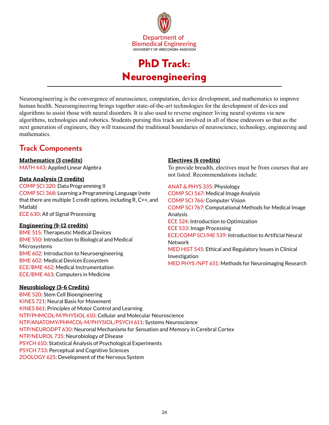

# PhD Track: Neuroengineering

<span id="page-23-0"></span>Neuroengineering is the convergence of neuroscience, computation, device development, and mathematics to improve human health. Neuroengineering brings together state-of-the-art technologies for the development of devices and algorithms to assist those with neural disorders. It is also used to reverse engineer living neural systems via new algorithms, technologies and robotics. Students pursing this track are involved in all of these endeavors so that as the next generation of engineers, they will transcend the traditional boundaries of neuroscience, technology, engineering and mathematics.

# **Track Components**

#### **Mathematics (3 credits)**

MATH 443: Applied Linear Algebra

#### **Data Analysis (3 credits)**

COMP SCI 320: Data Programming II COMP SCI 368: Learning a Programming Language (note that there are multiple 1 credit options, including R, C++, and Matlab) ECE 630: All of Signal Processing

#### **Engineering (9-12 credits)**

BME 515: Therapeutic Medical Devices BME 550: Introduction to Biological and Medical **Microsystems** BME 602: Introduction to Neuroengineering BME 602: Medical Devices Ecosystem ECE/BME 462: Medical Instrumentation ECE/BME 463: Computers in Medicine

#### **Electives (6 credits)**

To provide breadth, electives must be from courses that are not listed. Recommendations include:

ANAT & PHYS 335: Physiology COMP SCI 567: Medical Image Analysis COMP SCI 766: Computer Vision COMP SCI 767: Computational Methods for Medical Image Analysis ECE 524: Introduction to Optimization ECE 533: Image Processing ECE/COMP SCI/ME 539: Introduction to Artificial Neural Network MED HIST 545: Ethical and Regulatory Issues in Clinical Investigation MED PHYS /NPT 651: Methods for Neuroimaging Research

#### **Neurobiology (3-6 Credits)**

BME 520: Stem Cell Bioengineering KINES 721: Neural Basis for Movement KINES 861: Principles of Motor Control and Learning NTP/PHMCOL-M/PHYSIOL 610: Cellular and Molecular Neuroscience NTP/ANATOMY/PHMCOL-M/PHYSIOL/PSYCH 611: Systems Neuroscience NTP/NEURODPT 630: Neuronal Mechanisms for Sensation and Memory in Cerebral Cortex NTP/NEUROL 735: Neurobiology of Disease PSYCH 610: Statistical Analysis of Psychological Experiments PSYCH 733: Perceptual and Cognitive Sciences ZOOLOGY 625: Development of the Nervous System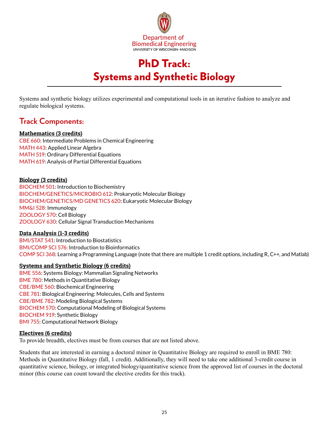

# PhD Track: Systems and Synthetic Biology

<span id="page-24-0"></span>Systems and synthetic biology utilizes experimental and computational tools in an iterative fashion to analyze and regulate biological systems.

## **Track Components:**

#### **Mathematics (3 credits)**

CBE 660: Intermediate Problems in Chemical Engineering MATH 443: Applied Linear Algebra MATH 519: Ordinary Differential Equations MATH 619: Analysis of Partial Differential Equations

#### **Biology (3 credits)**

BIOCHEM 501: Introduction to Biochemistry BIOCHEM/GENETICS/MICROBIO 612: Prokaryotic Molecular Biology BIOCHEM/GENETICS/MD GENETICS 620: Eukaryotic Molecular Biology MM&I 528: Immunology ZOOLOGY 570: Cell Biology ZOOLOGY 630: Cellular Signal Transduction Mechanisms

#### **Data Analysis (1-3 credits)**

BMI/STAT 541: Introduction to Biostatistics BMI/COMP SCI 576: Introduction to Bioinformatics COMP SCI 368: Learning a Programming Language (note that there are multiple 1 credit options, including R, C++, and Matlab)

#### **Systems and Synthetic Biology (6 credits)**

BME 556: Systems Biology: Mammalian Signaling Networks BME 780: Methods in Quantitative Biology CBE/BME 560: Biochemical Engineering CBE 781: Biological Engineering: Molecules, Cells and Systems CBE/BME 782: Modeling Biological Systems BIOCHEM 570: Computational Modeling of Biological Systems BIOCHEM 919: Synthetic Biology BMI 755: Computational Network Biology

#### **Electives (6 credits)**

To provide breadth, electives must be from courses that are not listed above.

Students that are interested in earning a doctoral minor in Quantitative Biology are required to enroll in BME 780: Methods in Quantitative Biology (fall, 1 credit). Additionally, they will need to take one additional 3-credit course in quantitative science, biology, or integrated biology/quantitative science from the approved list of courses in the doctoral minor (this course can count toward the elective credits for this track).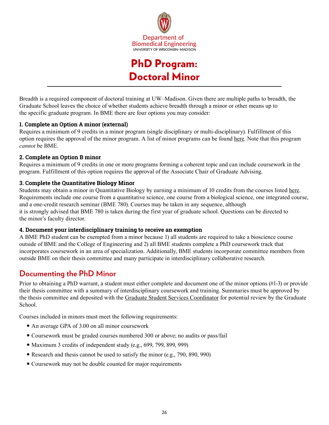

# PhD Program: Doctoral Minor

<span id="page-25-0"></span>Breadth is a required component of doctoral training at UW–Madison. Given there are multiple paths to breadth, the Graduate School leaves the choice of whether students achieve breadth through a minor or other means up to the specific graduate program. In BME there are four options you may consider:

#### **1. Complete an Option A minor (external)**

Requires a minimum of 9 credits in a minor program (single disciplinary or multi-disciplinary). Fulfillment of this option requires the approval of the minor program. A list of minor programs can be found [here.](https://guide.wisc.edu/graduate/#doctoralminorstext) Note that this program *cannot* be BME.

#### **2. Complete an Option B minor**

Requires a minimum of 9 credits in one or more programs forming a coherent topic and can include coursework in the program. Fulfillment of this option requires the approval of the Associate Chair of Graduate Advising.

#### **3. Complete the Quantitative Biology Minor**

Students may obtain a minor in Quantitative Biology by earning a minimum of 10 credits from the courses listed [here.](https://guide.wisc.edu/graduate/biomedical-engineering/quantitative-biology-doctoral-minor/index.html) Requirements include one course from a quantitative science, one course from a biological science, one integrated course, and a one-credit research seminar (BME 780). Courses may be taken in any sequence, although it is strongly advised that BME 780 is taken during the first year of graduate school. Questions can be directed to the minor's faculty director.

#### **4. Document your interdisciplinary training to receive an exemption**

A BME PhD student can be exempted from a minor because 1) all students are required to take a bioscience course outside of BME and the College of Engineering and 2) all BME students complete a PhD coursework track that incorporates coursework in an area of specialization. Additionally, BME students incorporate committee members from outside BME on their thesis committee and many participate in interdisciplinary collaborative research.

# **Documenting the PhD Minor**

Prior to obtaining a PhD warrant, a student must either complete and document one of the minor options (#1-3) or provide their thesis committee with a summary of interdisciplinary coursework and training. Summaries must be approved by the thesis committee and deposited with the [Graduate Student Services Coordinator](https://directory.engr.wisc.edu/bme/staff/) for potential review by the Graduate School.

Courses included in minors must meet the following requirements:

- An average GPA of 3.00 on all minor coursework
- Coursework must be graded courses numbered 300 or above; no audits or pass/fail
- Maximum 3 credits of independent study (e.g., 699, 799, 899, 999)
- Research and thesis cannot be used to satisfy the minor (e.g., 790, 890, 990)
- Coursework may not be double counted for major requirements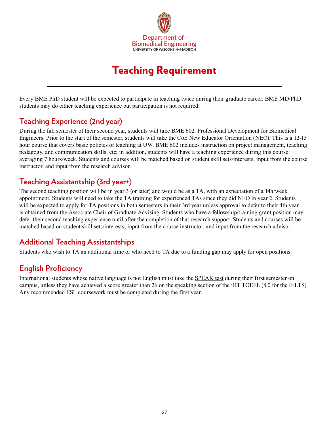

# Teaching Requirement

<span id="page-26-0"></span>Every BME PhD student will be expected to participate in teaching twice during their graduate career. BME MD/PhD students may do either teaching experience but participation is not required.

# **Teaching Experience (2nd year)**

During the fall semester of their second year, students will take BME 602: Professional Development for Biomedical Engineers. Prior to the start of the semester, students will take the CoE New Educator Orientation (NEO). This is a 12-15 hour course that covers basic policies of teaching at UW. BME 602 includes instruction on project management, teaching pedagogy, and communication skills, etc; in addition, students will have a teaching experience during this course averaging 7 hours/week. Students and courses will be matched based on student skill sets/interests, input from the course instructor, and input from the research advisor.

# **Teaching Assistantship (3rd year+)**

The second teaching position will be in year 3 (or later) and would be as a TA, with an expectation of a 14h/week appointment. Students will need to take the TA training for experienced TAs since they did NEO in year 2. Students will be expected to apply for TA positions in both semesters in their 3rd year unless approval to defer to their 4th year is obtained from the Associate Chair of Graduate Advising. Students who have a fellowship/training grant position may defer their second teaching experience until after the completion of that research support. Students and courses will be matched based on student skill sets/interests, input from the course instructor, and input from the research advisor.

# **Additional Teaching Assistantships**

Students who wish to TA an additional time or who need to TA due to a funding gap may apply for open positions.

# **English Proficiency**

International students whose native language is not English must take the [SPEAK test](https://esl.wisc.edu/ita-training/speak/) during their first semester on campus, unless they have achieved a score greater than 26 on the speaking section of the iBT TOEFL (8.0 for the IELTS). Any recommended ESL coursework must be completed during the first year.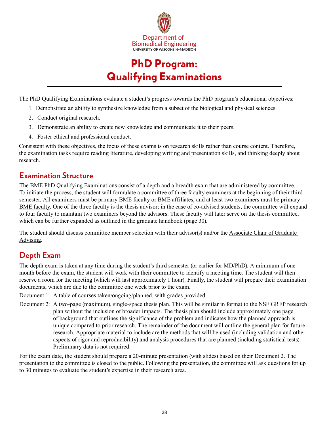

# PhD Program: Qualifying Examinations

<span id="page-27-0"></span>The PhD Qualifying Examinations evaluate a student's progress towards the PhD program's educational objectives:

- 1. Demonstrate an ability to synthesize knowledge from a subset of the biological and physical sciences.
- 2. Conduct original research.
- 3. Demonstrate an ability to create new knowledge and communicate it to their peers.
- 4. Foster ethical and professional conduct.

Consistent with these objectives, the focus of these exams is on research skills rather than course content. Therefore, the examination tasks require reading literature, developing writing and presentation skills, and thinking deeply about research.

### **Examination Structure**

The BME PhD Qualifying Examinations consist of a depth and a breadth exam that are administered by committee. To initiate the process, the student will formulate a committee of three faculty examiners at the beginning of their third semester. All examiners must be primary BME faculty or BME affiliates, and at least two examiners must be [primary](https://directory.engr.wisc.edu/bme/faculty)  [BME faculty.](https://directory.engr.wisc.edu/bme/faculty) One of the three faculty is the thesis advisor; in the case of co-advised students, the committee will expand to four faculty to maintain two examiners beyond the advisors. These faculty will later serve on the thesis committee, which can be further expanded as outlined in the graduate handbook (page 30).

The student should discuss committee member selection with their advisor(s) and/or the [Associate Chair of Graduate](https://engineering.wisc.edu/departments/biomedical-engineering/people/)  [Advising](https://engineering.wisc.edu/departments/biomedical-engineering/people/).

# **Depth Exam**

The depth exam is taken at any time during the student's third semester (or earlier for MD/PhD). A minimum of one month before the exam, the student will work with their committee to identify a meeting time. The student will then reserve a room for the meeting (which will last approximately 1 hour). Finally, the student will prepare their examination documents, which are due to the committee one week prior to the exam.

Document 1: A table of courses taken/ongoing/planned, with grades provided

Document 2: A two-page (maximum), single-space thesis plan. This will be similar in format to the NSF GRFP research plan without the inclusion of broader impacts. The thesis plan should include approximately one page of background that outlines the significance of the problem and indicates how the planned approach is unique compared to prior research. The remainder of the document will outline the general plan for future research. Appropriate material to include are the methods that will be used (including validation and other aspects of rigor and reproducibility) and analysis procedures that are planned (including statistical tests). Preliminary data is not required.

For the exam date, the student should prepare a 20-minute presentation (with slides) based on their Document 2. The presentation to the committee is closed to the public. Following the presentation, the committee will ask questions for up to 30 minutes to evaluate the student's expertise in their research area.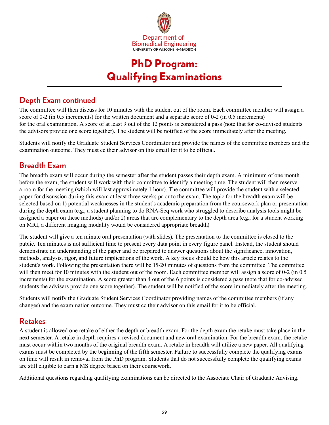

# PhD Program: Qualifying Examinations

# **Depth Exam continued**

The committee will then discuss for 10 minutes with the student out of the room. Each committee member will assign a score of 0-2 (in 0.5 increments) for the written document and a separate score of 0-2 (in 0.5 increments) for the oral examination. A score of at least 9 out of the 12 points is considered a pass (note that for co-advised students the advisors provide one score together). The student will be notified of the score immediately after the meeting.

Students will notify the Graduate Student Services Coordinator and provide the names of the committee members and the examination outcome. They must cc their advisor on this email for it to be official.

# **Breadth Exam**

The breadth exam will occur during the semester after the student passes their depth exam. A minimum of one month before the exam, the student will work with their committee to identify a meeting time. The student will then reserve a room for the meeting (which will last approximately 1 hour). The committee will provide the student with a selected paper for discussion during this exam at least three weeks prior to the exam. The topic for the breadth exam will be selected based on 1) potential weaknesses in the student's academic preparation from the coursework plan or presentation during the depth exam (e.g., a student planning to do RNA-Seq work who struggled to describe analysis tools might be assigned a paper on these methods) and/or 2) areas that are complementary to the depth area (e.g., for a student working on MRI, a different imaging modality would be considered appropriate breadth)

The student will give a ten minute oral presentation (with slides). The presentation to the committee is closed to the public. Ten minutes is not sufficient time to present every data point in every figure panel. Instead, the student should demonstrate an understanding of the paper and be prepared to answer questions about the significance, innovation, methods, analysis, rigor, and future implications of the work. A key focus should be how this article relates to the student's work. Following the presentation there will be 15-20 minutes of questions from the committee. The committee will then meet for 10 minutes with the student out of the room. Each committee member will assign a score of 0-2 (in 0.5) increments) for the examination. A score greater than 4 out of the 6 points is considered a pass (note that for co-advised students the advisers provide one score together). The student will be notified of the score immediately after the meeting.

Students will notify the Graduate Student Services Coordinator providing names of the committee members (if any changes) and the examination outcome. They must cc their advisor on this email for it to be official.

### **Retakes**

A student is allowed one retake of either the depth or breadth exam. For the depth exam the retake must take place in the next semester. A retake in depth requires a revised document and new oral examination. For the breadth exam, the retake must occur within two months of the original breadth exam. A retake in breadth will utilize a new paper. All qualifying exams must be completed by the beginning of the fifth semester. Failure to successfully complete the qualifying exams on time will result in removal from the PhD program. Students that do not successfully complete the qualifying exams are still eligible to earn a MS degree based on their coursework.

Additional questions regarding qualifying examinations can be directed to the Associate Chair of Graduate Advising.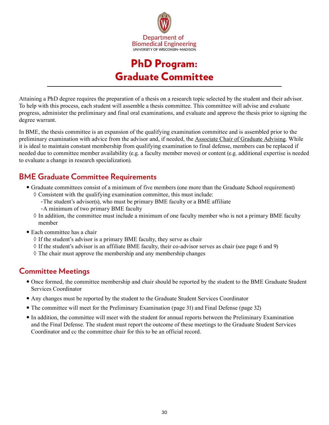

# PhD Program: Graduate Committee

<span id="page-29-0"></span>Attaining a PhD degree requires the preparation of a thesis on a research topic selected by the student and their advisor. To help with this process, each student will assemble a thesis committee. This committee will advise and evaluate progress, administer the preliminary and final oral examinations, and evaluate and approve the thesis prior to signing the degree warrant.

In BME, the thesis committee is an expansion of the qualifying examination committee and is assembled prior to the preliminary examination with advice from the advisor and, if needed, the [Associate Chair of Graduate Advising.](https://engineering.wisc.edu/departments/biomedical-engineering/people/) While it is ideal to maintain constant membership from qualifying examination to final defense, members can be replaced if needed due to committee member availability (e.g. a faculty member moves) or content (e.g. additional expertise is needed to evaluate a change in research specialization).

# **BME Graduate Committee Requirements**

- y Graduate committees consist of a minimum of five members (one more than the Graduate School requirement)  $\Diamond$  Consistent with the qualifying examination committee, this must include:
	- -The student's advisor(s), who must be primary BME faculty or a BME affiliate
	- -A minimum of two primary BME faculty
	- $\Diamond$  In addition, the committee must include a minimum of one faculty member who is not a primary BME faculty member
- Each committee has a chair
	- $\Diamond$  If the student's advisor is a primary BME faculty, they serve as chair
	- $\Diamond$  If the student's advisor is an affiliate BME faculty, their co-advisor serves as chair (see page 6 and 9)
	- $\Diamond$  The chair must approve the membership and any membership changes

### **Committee Meetings**

- Once formed, the committee membership and chair should be reported by the student to the BME Graduate Student Services Coordinator
- y Any changes must be reported by the student to the Graduate Student Services Coordinator
- The committee will meet for the Preliminary Examination (page 31) and Final Defense (page 32)
- In addition, the committee will meet with the student for annual reports between the Preliminary Examination and the Final Defense. The student must report the outcome of these meetings to the Graduate Student Services Coordinator and cc the committee chair for this to be an official record.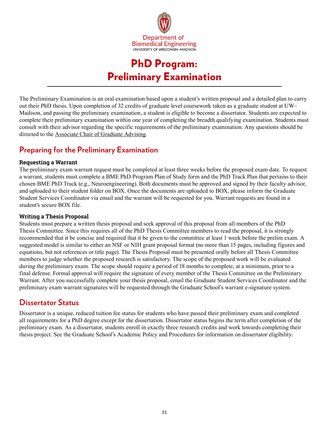

# PhD Program: Preliminary Examination

<span id="page-30-0"></span>The Preliminary Examination is an oral examination based upon a student's written proposal and a detailed plan to carry out their PhD thesis. Upon completion of 32 credits of graduate level coursework taken as a graduate student at UW– Madison, and passing the preliminary examination, a student is eligible to become a dissertator. Students are expected to complete their preliminary examination within one year of completing the breadth qualifying examination. Students must consult with their advisor regarding the specific requirements of the preliminary examination. Any questions should be directed to the [Associate Chair of Graduate Advising](https://engineering.wisc.edu/departments/biomedical-engineering/people/).

# **Preparing for the Preliminary Examination**

#### **Requesting a Warrant**

The preliminary exam warrant request must be completed at least three weeks before the proposed exam date. To request a warrant, students must complete a BME PhD Program Plan of Study form and the PhD Track Plan that pertains to their chosen BME PhD Track (e.g., Neuroengineering). Both documents must be approved and signed by their faculty advisor, and uploaded to their student folder on BOX. Once the documents are uploaded to BOX, please inform the Graduate Student Services Coordinator via email and the warrant will be requested for you. Warrant requests are found in a student's secure BOX file.

#### **Writing a Thesis Proposal**

Students must prepare a written thesis proposal and seek approval of this proposal from all members of the PhD Thesis Committee. Since this requires all of the PhD Thesis Committee members to read the proposal, it is strongly recommended that it be concise and required that it be given to the committee at least 1 week before the prelim exam. A suggested model is similar to either an NSF or NIH grant proposal format (no more than 15 pages, including figures and equations, but not references or title page). The Thesis Proposal must be presented orally before all Thesis Committee members to judge whether the proposed research is satisfactory. The scope of the proposed work will be evaluated during the preliminary exam. The scope should require a period of 18 months to complete, at a minimum, prior to a final defense. Formal approval will require the signature of every member of the Thesis Committee on the Preliminary Warrant. After you successfully complete your thesis proposal, email the Graduate Student Services Coordinator and the preliminary exam warrant signatures will be requested through the Graduate School's warrant e-signature system.

### **Dissertator Status**

Dissertator is a unique, reduced tuition fee status for students who have passed their preliminary exam and completed all requirements for a PhD degree except for the dissertation. Dissertator status begins the term after completion of the preliminary exam. As a dissertator, students enroll in exactly three research credits and work towards completing their thesis project. See the Graduate School's Academic Policy and Procedures for information on dissertator eligibility.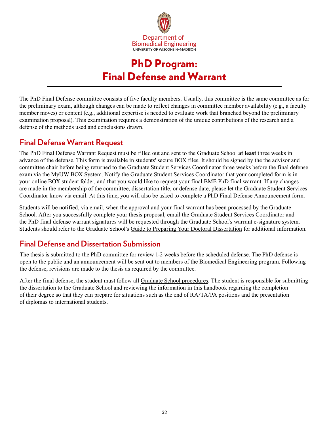

# PhD Program: Final Defense and Warrant

<span id="page-31-0"></span>The PhD Final Defense committee consists of five faculty members. Usually, this committee is the same committee as for the preliminary exam, although changes can be made to reflect changes in committee member availability (e.g., a faculty member moves) or content (e.g., additional expertise is needed to evaluate work that branched beyond the preliminary examination proposal). This examination requires a demonstration of the unique contributions of the research and a defense of the methods used and conclusions drawn.

### **Final Defense Warrant Request**

The PhD Final Defense Warrant Request must be filled out and sent to the Graduate School **at least** three weeks in advance of the defense. This form is available in students' secure BOX files. It should be signed by the the advisor and committee chair before being returned to the Graduate Student Services Coordinator three weeks before the final defense exam via the MyUW BOX System. Notify the Graduate Student Services Coordinator that your completed form is in your online BOX student folder, and that you would like to request your final BME PhD final warrant. If any changes are made in the membership of the committee, dissertation title, or defense date, please let the Graduate Student Services Coordinator know via email. At this time, you will also be asked to complete a PhD Final Defense Announcement form.

Students will be notified, via email, when the approval and your final warrant has been processed by the Graduate School. After you successfully complete your thesis proposal, email the Graduate Student Services Coordinator and the PhD final defense warrant signatures will be requested through the Graduate School's warrant e-signature system. Students should refer to the Graduate School's [Guide to Preparing Your Doctoral Dissertation](https://grad.wisc.edu/current-students/doctoral-guide/) for additional information.

# **Final Defense and Dissertation Submission**

The thesis is submitted to the PhD committee for review 1-2 weeks before the scheduled defense. The PhD defense is open to the public and an announcement will be sent out to members of the Biomedical Engineering program. Following the defense, revisions are made to the thesis as required by the committee.

After the final defense, the student must follow all [Graduate School procedures](https://grad.wisc.edu/current-students/doctoral-guide/). The student is responsible for submitting the dissertation to the Graduate School and reviewing the information in this handbook regarding the completion of their degree so that they can prepare for situations such as the end of RA/TA/PA positions and the presentation of diplomas to international students.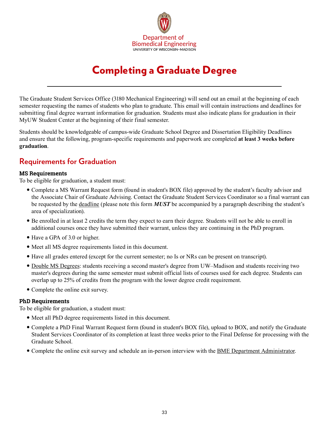

# Completing a Graduate Degree

<span id="page-32-0"></span>The Graduate Student Services Office (3180 Mechanical Engineering) will send out an email at the beginning of each semester requesting the names of students who plan to graduate. This email will contain instructions and deadlines for submitting final degree warrant information for graduation. Students must also indicate plans for graduation in their MyUW Student Center at the beginning of their final semester.

Students should be knowledgeable of campus-wide Graduate School Degree and Dissertation Eligibility Deadlines and ensure that the following, program-specific requirements and paperwork are completed **at least 3 weeks before graduation**.

### **Requirements for Graduation**

#### **MS Requirements**

To be eligible for graduation, a student must:

- Complete a MS Warrant Request form (found in student's BOX file) approved by the student's faculty advisor and the Associate Chair of Graduate Advising. Contact the Graduate Student Services Coordinator so a final warrant can be requested by the [deadline](https://grad.wisc.edu/current-students/masters-guide/) (please note this form *MUST* be accompanied by a paragraph describing the student's area of specialization).
- y Be enrolled in at least 2 credits the term they expect to earn their degree. Students will not be able to enroll in additional courses once they have submitted their warrant, unless they are continuing in the PhD program.
- Have a GPA of 3.0 or higher.
- Meet all MS degree requirements listed in this document.
- y Have all grades entered (except for the current semester; no Is or NRs can be present on transcript).
- [Double MS Degrees](https://grad.wisc.edu/documents/double-degrees/): students receiving a second master's degree from UW–Madison and students receiving two master's degrees during the same semester must submit official lists of courses used for each degree. Students can overlap up to 25% of credits from the program with the lower degree credit requirement.
- Complete the online exit survey.

#### **PhD Requirements**

To be eligible for graduation, a student must:

- Meet all PhD degree requirements listed in this document.
- Complete a PhD Final Warrant Request form (found in student's BOX file), upload to BOX, and notify the Graduate Student Services Coordinator of its completion at least three weeks prior to the Final Defense for processing with the Graduate School.
- Complete the online exit survey and schedule an in-person interview with the **BME Department Administrator**.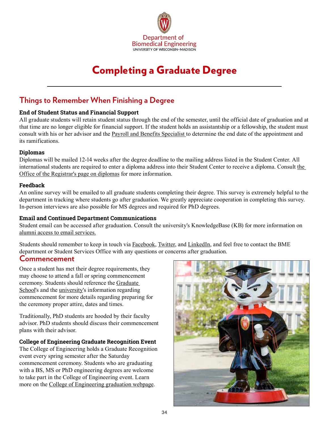

# Completing a Graduate Degree

### **Things to Remember When Finishing a Degree**

#### **End of Student Status and Financial Support**

All graduate students will retain student status through the end of the semester, until the official date of graduation and at that time are no longer eligible for financial support. If the student holds an assistantship or a fellowship, the student must consult with his or her advisor and the [Payroll and Benefits Specialist](https://directory.engr.wisc.edu/bme/staff) to determine the end date of the appointment and its ramifications.

#### **Diplomas**

Diplomas will be mailed 12-14 weeks after the degree deadline to the mailing address listed in the Student Center. All international students are required to enter a diploma address into their Student Center to receive a diploma. Consult [the](https://registrar.wisc.edu/diploma/)  [Office of the Registrar's page on diplomas](https://registrar.wisc.edu/diploma/) for more information.

#### **Feedback**

An online survey will be emailed to all graduate students completing their degree. This survey is extremely helpful to the department in tracking where students go after graduation. We greatly appreciate cooperation in completing this survey. In-person interviews are also possible for MS degrees and required for PhD degrees.

#### **Email and Continued Department Communications**

Student email can be accessed after graduation. Consult the university's KnowledgeBase (KB) for more information on [alumni access to email services.](https://kb.wisc.edu/page.php?id=6023)

Students should remember to keep in touch via [Facebook,](https://www.facebook.com/UWBME/) [Twitter,](https://twitter.com/UWMadison_BME) and [LinkedIn](https://www.linkedin.com/groups/5134683), and feel free to contact the BME department or Student Services Office with any questions or concerns after graduation.

#### **Commencement**

Once a student has met their degree requirements, they may choose to attend a fall or spring commencement ceremony. Students should reference the [Graduate](https://grad.wisc.edu/current-students/doctoral-guide/)  [School](https://grad.wisc.edu/current-students/doctoral-guide/)'s and the [university](https://commencement.wisc.edu/)'s information regarding commencement for more details regarding preparing for the ceremony proper attire, dates and times.

Traditionally, PhD students are hooded by their faculty advisor. PhD students should discuss their commencement plans with their advisor.

#### **College of Engineering Graduate Recognition Event**

The College of Engineering holds a Graduate Recognition event every spring semester after the Saturday commencement ceremony. Students who are graduating with a BS, MS or PhD engineering degrees are welcome to take part in the College of Engineering event. Learn more on the [College of Engineering graduation webpage.](https://graduation.engr.wisc.edu/)

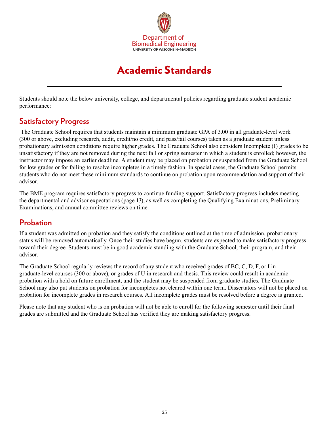

# Academic Standards

<span id="page-34-0"></span>Students should note the below university, college, and departmental policies regarding graduate student academic performance:

## **Satisfactory Progress**

 The Graduate School requires that students maintain a minimum graduate GPA of 3.00 in all graduate-level work (300 or above, excluding research, audit, credit/no credit, and pass/fail courses) taken as a graduate student unless probationary admission conditions require higher grades. The Graduate School also considers Incomplete (I) grades to be unsatisfactory if they are not removed during the next fall or spring semester in which a student is enrolled; however, the instructor may impose an earlier deadline. A student may be placed on probation or suspended from the Graduate School for low grades or for failing to resolve incompletes in a timely fashion. In special cases, the Graduate School permits students who do not meet these minimum standards to continue on probation upon recommendation and support of their advisor.

The BME program requires satisfactory progress to continue funding support. Satisfactory progress includes meeting the departmental and advisor expectations (page 13), as well as completing the Qualifying Examinations, Preliminary Examinations, and annual committee reviews on time.

### **Probation**

If a student was admitted on probation and they satisfy the conditions outlined at the time of admission, probationary status will be removed automatically. Once their studies have begun, students are expected to make satisfactory progress toward their degree. Students must be in good academic standing with the Graduate School, their program, and their advisor.

The Graduate School regularly reviews the record of any student who received grades of BC, C, D, F, or I in graduate-level courses (300 or above), or grades of U in research and thesis. This review could result in academic probation with a hold on future enrollment, and the student may be suspended from graduate studies. The Graduate School may also put students on probation for incompletes not cleared within one term. Dissertators will not be placed on probation for incomplete grades in research courses. All incomplete grades must be resolved before a degree is granted.

Please note that any student who is on probation will not be able to enroll for the following semester until their final grades are submitted and the Graduate School has verified they are making satisfactory progress.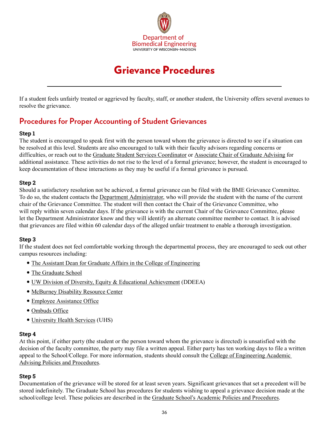

# Grievance Procedures

<span id="page-35-0"></span>If a student feels unfairly treated or aggrieved by faculty, staff, or another student, the University offers several avenues to resolve the grievance.

## **Procedures for Proper Accounting of Student Grievances**

#### **Step 1**

The student is encouraged to speak first with the person toward whom the grievance is directed to see if a situation can be resolved at this level. Students are also encouraged to talk with their faculty advisors regarding concerns or difficulties, or reach out to the [Graduate Student Services Coordinator](https://directory.engr.wisc.edu/bme/staff) or [Associate Chair of Graduate Advising](https://engineering.wisc.edu/departments/biomedical-engineering/people/) for additional assistance. These activities do not rise to the level of a formal grievance; however, the student is encouraged to keep documentation of these interactions as they may be useful if a formal grievance is pursued.

#### **Step 2**

Should a satisfactory resolution not be achieved, a formal grievance can be filed with the BME Grievance Committee. To do so, the student contacts the [Department Administrator,](https://engineering.wisc.edu/departments/biomedical-engineering/people/) who will provide the student with the name of the current chair of the Grievance Committee. The student will then contact the Chair of the Grievance Committee, who will reply within seven calendar days. If the grievance is with the current Chair of the Grievance Committee, please let the Department Administrator know and they will identify an alternate committee member to contact. It is advised that grievances are filed within 60 calendar days of the alleged unfair treatment to enable a thorough investigation.

#### **Step 3**

If the student does not feel comfortable working through the departmental process, they are encouraged to seek out other campus resources including:

- [The Assistant Dean for Graduate Affairs in the College of Engineering](https://engineering.wisc.edu/about/leadership/)
- [The Graduate School](http://grad.wisc.edu)
- [UW Division of Diversity, Equity & Educational Achievement](https://diversity.wisc.edu/) (DDEEA)
- [McBurney Disability Resource Center](https://mcburney.wisc.edu/)
- [Employee Assistance Office](https://hr.wisc.edu/employee-assistance-office/)
- [Ombuds Office](https://ombuds.wisc.edu/)
- [University Health Services](https://www.uhs.wisc.edu/) (UHS)

#### **Step 4**

At this point, if either party (the student or the person toward whom the grievance is directed) is unsatisfied with the decision of the faculty committee, the party may file a written appeal. Either party has ten working days to file a written appeal to the School/College. For more information, students should consult the [College of Engineering Academic](https://engineering.wisc.edu/student-services/graduate-student-advising/)  [Advising Policies and Procedures](https://engineering.wisc.edu/student-services/graduate-student-advising/).

#### **Step 5**

Documentation of the grievance will be stored for at least seven years. Significant grievances that set a precedent will be stored indefinitely. The Graduate School has procedures for students wishing to appeal a grievance decision made at the school/college level. These policies are described in the Graduate School's [Academic Policies](https://hr.wisc.edu/policies/gapp/) and Procedures.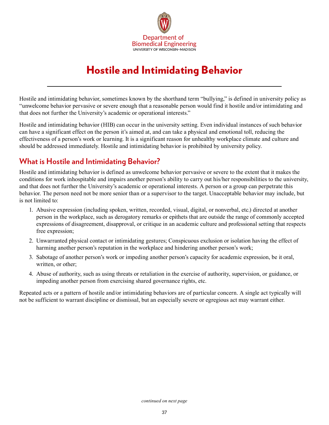

# Hostile and Intimidating Behavior

<span id="page-36-0"></span>Hostile and intimidating behavior, sometimes known by the shorthand term "bullying," is defined in university policy as "unwelcome behavior pervasive or severe enough that a reasonable person would find it hostile and/or intimidating and that does not further the University's academic or operational interests."

Hostile and intimidating behavior (HIB) can occur in the university setting. Even individual instances of such behavior can have a significant effect on the person it's aimed at, and can take a physical and emotional toll, reducing the effectiveness of a person's work or learning. It is a significant reason for unhealthy workplace climate and culture and should be addressed immediately. Hostile and intimidating behavior is prohibited by university policy.

## **What is Hostile and Intimidating Behavior?**

Hostile and intimidating behavior is defined as unwelcome behavior pervasive or severe to the extent that it makes the conditions for work inhospitable and impairs another person's ability to carry out his/her responsibilities to the university, and that does not further the University's academic or operational interests. A person or a group can perpetrate this behavior. The person need not be more senior than or a supervisor to the target. Unacceptable behavior may include, but is not limited to:

- 1. Abusive expression (including spoken, written, recorded, visual, digital, or nonverbal, etc.) directed at another person in the workplace, such as derogatory remarks or epithets that are outside the range of commonly accepted expressions of disagreement, disapproval, or critique in an academic culture and professional setting that respects free expression;
- 2. Unwarranted physical contact or intimidating gestures; Conspicuous exclusion or isolation having the effect of harming another person's reputation in the workplace and hindering another person's work;
- 3. Sabotage of another person's work or impeding another person's capacity for academic expression, be it oral, written, or other;
- 4. Abuse of authority, such as using threats or retaliation in the exercise of authority, supervision, or guidance, or impeding another person from exercising shared governance rights, etc.

Repeated acts or a pattern of hostile and/or intimidating behaviors are of particular concern. A single act typically will not be sufficient to warrant discipline or dismissal, but an especially severe or egregious act may warrant either.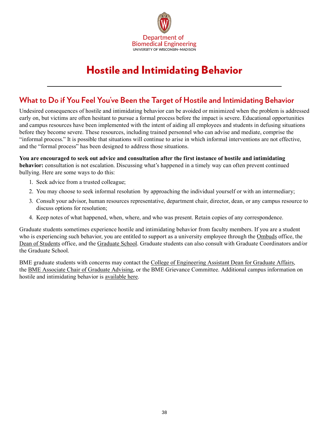

# Hostile and Intimidating Behavior

## **What to Do if You Feel You've Been the Target of Hostile and Intimidating Behavior**

Undesired consequences of hostile and intimidating behavior can be avoided or minimized when the problem is addressed early on, but victims are often hesitant to pursue a formal process before the impact is severe. Educational opportunities and campus resources have been implemented with the intent of aiding all employees and students in defusing situations before they become severe. These resources, including trained personnel who can advise and mediate, comprise the "informal process." It is possible that situations will continue to arise in which informal interventions are not effective, and the "formal process" has been designed to address those situations.

#### **You are encouraged to seek out advice and consultation after the first instance of hostile and intimidating behavior:** consultation is not escalation. Discussing what's happened in a timely way can often prevent continued bullying. Here are some ways to do this:

- 1. Seek advice from a trusted colleague;
- 2. You may choose to seek informal resolution by approaching the individual yourself or with an intermediary;
- 3. Consult your advisor, human resources representative, department chair, director, dean, or any campus resource to discuss options for resolution;
- 4. Keep notes of what happened, when, where, and who was present. Retain copies of any correspondence.

Graduate students sometimes experience hostile and intimidating behavior from faculty members. If you are a student who is experiencing such behavior, you are entitled to support as a university employee through the [Ombuds](https://ombuds.wisc.edu/) office, the [Dean of Students](https://doso.students.wisc.edu/) office, and the [Graduate School](https://grad.wisc.edu/). Graduate students can also consult with Graduate Coordinators and/or the Graduate School.

BME graduate students with concerns may contact the [College of Engineering Assistant Dean for Graduate Affairs,](https://engineering.wisc.edu/about/leadership/) the [BME Associate Chair of Graduate Advising,](https://engineering.wisc.edu/departments/biomedical-engineering/people/) or the BME Grievance Committee. Additional campus information on hostile and intimidating behavior is [available here](https://hr.wisc.edu/hib/).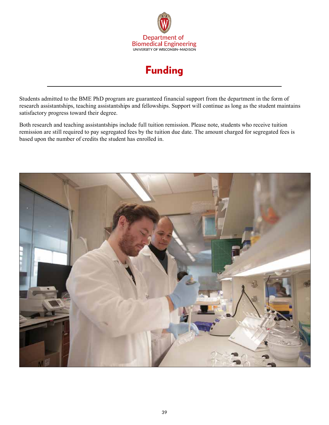

# Funding

<span id="page-38-0"></span>Students admitted to the BME PhD program are guaranteed financial support from the department in the form of research assistantships, teaching assistantships and fellowships. Support will continue as long as the student maintains satisfactory progress toward their degree.

Both research and teaching assistantships include full tuition remission. Please note, students who receive tuition remission are still required to pay segregated fees by the tuition due date. The amount charged for segregated fees is based upon the number of credits the student has enrolled in.

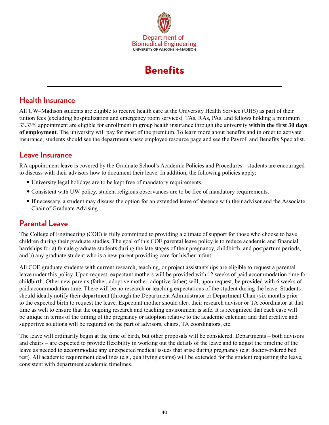

# **Benefits**

## <span id="page-39-0"></span>**Health Insurance**

All UW–Madison students are eligible to receive health care at the University Health Service (UHS) as part of their tuition fees (excluding hospitalization and emergency room services). TAs, RAs, PAs, and fellows holding a minimum 33.33% appointment are eligible for enrollment in group health insurance through the university **within the first 30 days of employment**. The university will pay for most of the premium. To learn more about benefits and in order to activate insurance, students should see the department's new employee resource page and see the [Payroll and Benefits Specialist](https://directory.engr.wisc.edu/bme/staff).

### **Leave Insurance**

RA appointment leave is covered by the [Graduate School's Academic Policies and Procedures](https://hr.wisc.edu/policies/gapp/) - students are encouraged to discuss with their advisors how to document their leave. In addition, the following policies apply:

- University legal holidays are to be kept free of mandatory requirements.
- Consistent with UW policy, student religious observances are to be free of mandatory requirements.
- If necessary, a student may discuss the option for an extended leave of absence with their advisor and the Associate Chair of Graduate Advising.

### **Parental Leave**

The College of Engineering (COE) is fully committed to providing a climate of support for those who choose to have children during their graduate studies. The goal of this COE parental leave policy is to reduce academic and financial hardships for a) female graduate students during the late stages of their pregnancy, childbirth, and postpartum periods, and b) any graduate student who is a new parent providing care for his/her infant.

All COE graduate students with current research, teaching, or project assistantships are eligible to request a parental leave under this policy. Upon request, expectant mothers will be provided with 12 weeks of paid accommodation time for childbirth. Other new parents (father, adoptive mother, adoptive father) will, upon request, be provided with 6 weeks of paid accommodation time. There will be no research or teaching expectations of the student during the leave. Students should ideally notify their department (through the Department Administrator or Department Chair) six months prior to the expected birth to request the leave. Expectant mother should alert their research advisor or TA coordinator at that time as well to ensure that the ongoing research and teaching environment is safe. It is recognized that each case will be unique in terms of the timing of the pregnancy or adoption relative to the academic calendar, and that creative and supportive solutions will be required on the part of advisors, chairs, TA coordinators, etc.

The leave will ordinarily begin at the time of birth, but other proposals will be considered. Departments – both advisors and chairs – are expected to provide flexibility in working out the details of the leave and to adjust the timeline of the leave as needed to accommodate any unexpected medical issues that arise during pregnancy (e.g. doctor-ordered bed rest). All academic requirement deadlines (e.g., qualifying exams) will be extended for the student requesting the leave, consistent with department academic timelines.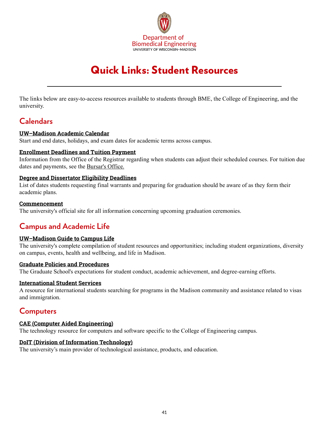

# Quick Links: Student Resources

<span id="page-40-0"></span>The links below are easy-to-access resources available to students through BME, the College of Engineering, and the university.

### **Calendars**

#### **[UW–Madison Academic Calendar](https://secfac.wisc.edu/academic-calendar/)**

Start and end dates, holidays, and exam dates for academic terms across campus.

#### **[Enrollment Deadlines and Tuition Payment](https://registrar.wisc.edu/dates/)**

Information from the Office of the Registrar regarding when students can adjust their scheduled courses. For tuition due dates and payments, see the [Bursar's Office.](https://bursar.wisc.edu/student-tuition-account)

#### **[Degree and Dissertator Eligibility Deadlines](https://grad.wisc.edu/currentstudents/degreedeadlines/)**

List of dates students requesting final warrants and preparing for graduation should be aware of as they form their academic plans.

#### **[Commencement](https://commencement.wisc.edu/)**

The university's official site for all information concerning upcoming graduation ceremonies.

# **Campus and Academic Life**

#### **[UW–Madison Guide to Campus Life](http://www.wisc.edu/campus-life/)**

The university's complete compilation of student resources and opportunities; including student organizations, diversity on campus, events, health and wellbeing, and life in Madison.

#### **[Graduate Policies and Procedures](https://grad.wisc.edu/academic-policies/)**

The Graduate School's expectations for student conduct, academic achievement, and degree-earning efforts.

#### **[International Student Services](https://iss.wisc.edu/)**

A resource for international students searching for programs in the Madison community and assistance related to visas and immigration.

### **Computers**

#### **[CAE \(Computer Aided Engineering\)](https://www.cae.wisc.edu/)**

The technology resource for computers and software specific to the College of Engineering campus.

#### **[DoIT \(Division of Information Technology\)](https://it.wisc.edu/)**

The university's main provider of technological assistance, products, and education.